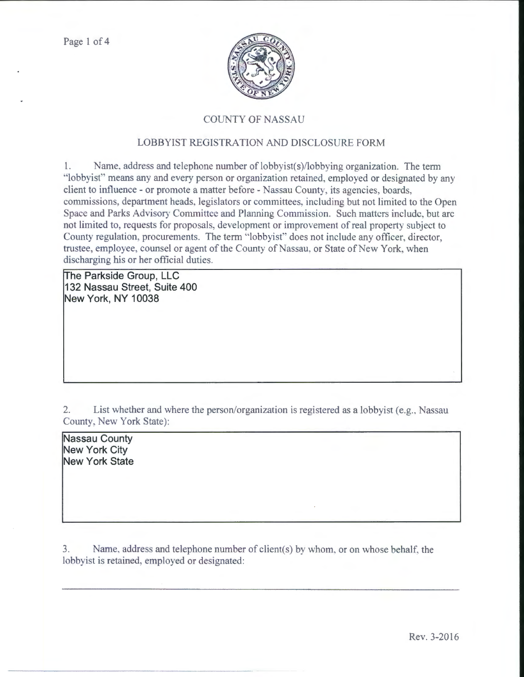

## COUNTY OF NASSAU

## LOBBYIST REGISTRATION AND DISCLOSURE FORM

1. Name, address and telephone number of lobbyist( $s$ )/lobbying organization. The term "lobbyist" means any and every person or organization retained, employed or designated by any client to intluence- or promote a matter before- Nassau County, its agencies, boards, commissions, department heads, legislators or committees, including but not limited to the Open Space and Parks Advisory Committee and Planning Commission. Such matters include, but arc not limited to, requests for proposals, development or improvement of real property subject to County regulation, procurements. The term "lobbyist" does not include any officer, director, trustee, employee, counsel or agent of the County of Nassau, or State of New York, when discharging his or her official duties.

The Parkside Group, LLC **132 Nassau Street, Suite 400 New York, NY 10038** 

2. List whether and where the person/organization is registered as a lobbyist (e.g., Nassau County, New York State):

**Nassau County New York City New York State** 

3. Name, address and telephone number of client(s) by whom, or on whose behalf. the lobbyist is retained, employed or designated: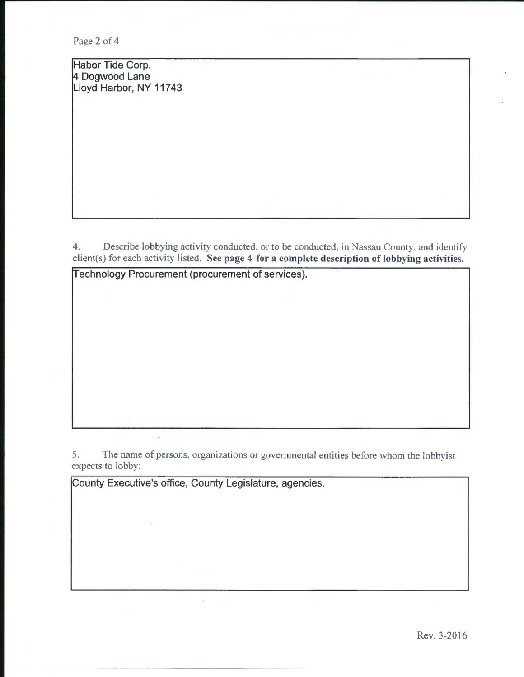Page 2 of 4

Habor Tide Corp. 4 Dogwood Lane Lloyd Harbor, NY 11743

4. Describe lobbying activity conducted. or to be conducted, in Nassau County, and identify client(s) for each activity listed. See page 4 for a complete description of lobbying activities.

Technology Procurement (procurement of services).

5. The name of persons, organizations or governmental entities before whom the lobbyist expects to lobby:

County Executive's office, County Legislature, agencies.

l,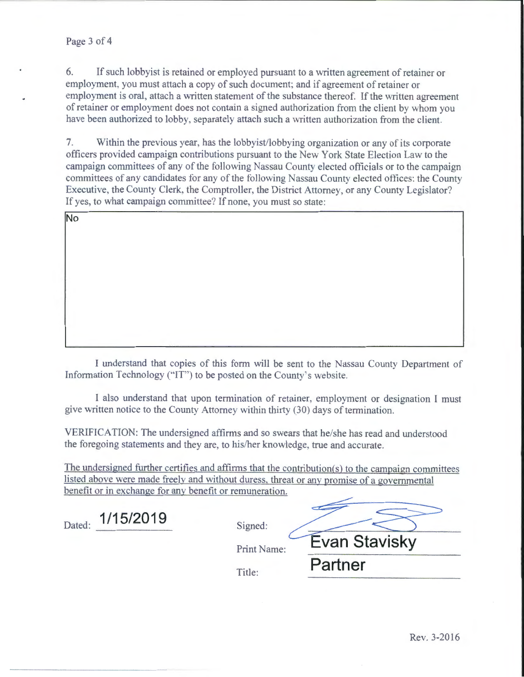6. If such lobby ist is retained or employed pursuant to a written agreement of retainer or employment, you must attach a copy of such document; and if agreement of retainer or employment is oral, attach a written statement of the substance thereof. If the written agreement of retainer or employment does not contain a signed authorization from the client by whom you have been authorized to lobby, separately attach such a written authorization from the client.

7. Within the previous year. has the lobbyist/lobbying organization or any of its corporate officers provided campaign contributions pursuant to the New York State Election Law to the campaign committees of any of the following Nassau County elected officials or to the campaign committees of any candidates for any of the following Nassau County elected ottices: the County Executive, the County Clerk, the Comptroller, the District Attorney, or any County Legislator? If yes, to what campaign committee? If none, you must so state:

| No |  |  |
|----|--|--|
|    |  |  |
|    |  |  |
|    |  |  |
|    |  |  |
|    |  |  |
|    |  |  |
|    |  |  |

I understand that copies of this form will be sent to the Nassau County Department of Information Technology (''IT') to be posted on the County's website.

I also understand that upon termination of retainer, employment or designation l must give written notice to the County Attorney within thirty (30) days of termination.

| VERIFICATION: The undersigned affirms and so swears that he/she has read and understood<br>the foregoing statements and they are, to his/her knowledge, true and accurate.<br>The undersigned further certifies and affirms that the contribution(s) to the campaign committees<br>listed above were made freely and without duress, threat or any promise of a governmental<br>benefit or in exchange for any benefit or remuneration.<br>1/15/2019<br>Dated:<br>Signed: | give written notice to the County Attorney within thirty (30) days of termination. |                      |  |
|---------------------------------------------------------------------------------------------------------------------------------------------------------------------------------------------------------------------------------------------------------------------------------------------------------------------------------------------------------------------------------------------------------------------------------------------------------------------------|------------------------------------------------------------------------------------|----------------------|--|
|                                                                                                                                                                                                                                                                                                                                                                                                                                                                           |                                                                                    |                      |  |
|                                                                                                                                                                                                                                                                                                                                                                                                                                                                           |                                                                                    |                      |  |
| Print Name:<br>Partner<br>Title:                                                                                                                                                                                                                                                                                                                                                                                                                                          |                                                                                    | <b>Evan Stavisky</b> |  |